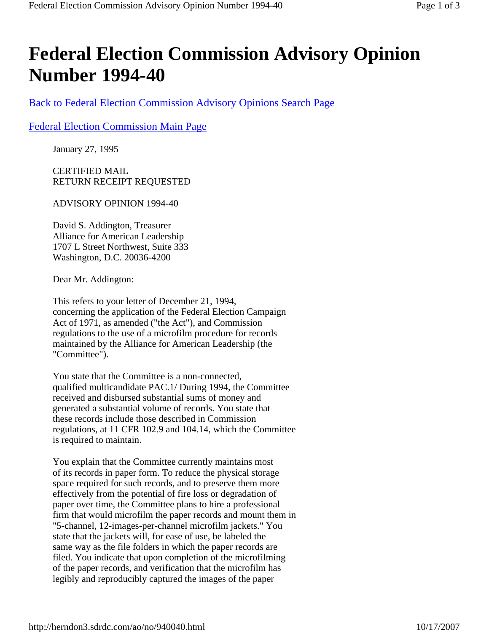## **Federal Election Commission Advisory Opinion Number 1994-40**

Back to Federal Election Commission Advisory Opinions Search Page

## Federal Election Commission Main Page

January 27, 1995

CERTIFIED MAIL RETURN RECEIPT REQUESTED

ADVISORY OPINION 1994-40

David S. Addington, Treasurer Alliance for American Leadership 1707 L Street Northwest, Suite 333 Washington, D.C. 20036-4200

Dear Mr. Addington:

This refers to your letter of December 21, 1994, concerning the application of the Federal Election Campaign Act of 1971, as amended ("the Act"), and Commission regulations to the use of a microfilm procedure for records maintained by the Alliance for American Leadership (the "Committee").

You state that the Committee is a non-connected, qualified multicandidate PAC.1/ During 1994, the Committee received and disbursed substantial sums of money and generated a substantial volume of records. You state that these records include those described in Commission regulations, at 11 CFR 102.9 and 104.14, which the Committee is required to maintain.

You explain that the Committee currently maintains most of its records in paper form. To reduce the physical storage space required for such records, and to preserve them more effectively from the potential of fire loss or degradation of paper over time, the Committee plans to hire a professional firm that would microfilm the paper records and mount them in "5-channel, 12-images-per-channel microfilm jackets." You state that the jackets will, for ease of use, be labeled the same way as the file folders in which the paper records are filed. You indicate that upon completion of the microfilming of the paper records, and verification that the microfilm has legibly and reproducibly captured the images of the paper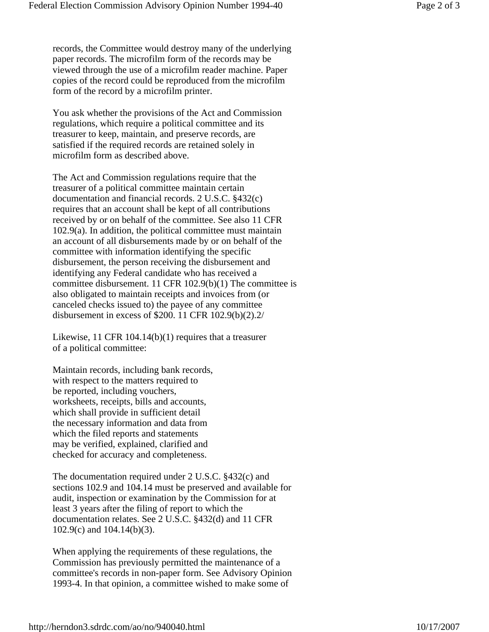records, the Committee would destroy many of the underlying paper records. The microfilm form of the records may be viewed through the use of a microfilm reader machine. Paper copies of the record could be reproduced from the microfilm form of the record by a microfilm printer.

You ask whether the provisions of the Act and Commission regulations, which require a political committee and its treasurer to keep, maintain, and preserve records, are satisfied if the required records are retained solely in microfilm form as described above.

The Act and Commission regulations require that the treasurer of a political committee maintain certain documentation and financial records. 2 U.S.C. §432(c) requires that an account shall be kept of all contributions received by or on behalf of the committee. See also 11 CFR 102.9(a). In addition, the political committee must maintain an account of all disbursements made by or on behalf of the committee with information identifying the specific disbursement, the person receiving the disbursement and identifying any Federal candidate who has received a committee disbursement. 11 CFR 102.9(b)(1) The committee is also obligated to maintain receipts and invoices from (or canceled checks issued to) the payee of any committee disbursement in excess of \$200. 11 CFR 102.9(b)(2).2/

Likewise, 11 CFR 104.14(b)(1) requires that a treasurer of a political committee:

Maintain records, including bank records, with respect to the matters required to be reported, including vouchers, worksheets, receipts, bills and accounts, which shall provide in sufficient detail the necessary information and data from which the filed reports and statements may be verified, explained, clarified and checked for accuracy and completeness.

The documentation required under 2 U.S.C. §432(c) and sections 102.9 and 104.14 must be preserved and available for audit, inspection or examination by the Commission for at least 3 years after the filing of report to which the documentation relates. See 2 U.S.C. §432(d) and 11 CFR 102.9(c) and 104.14(b)(3).

When applying the requirements of these regulations, the Commission has previously permitted the maintenance of a committee's records in non-paper form. See Advisory Opinion 1993-4. In that opinion, a committee wished to make some of